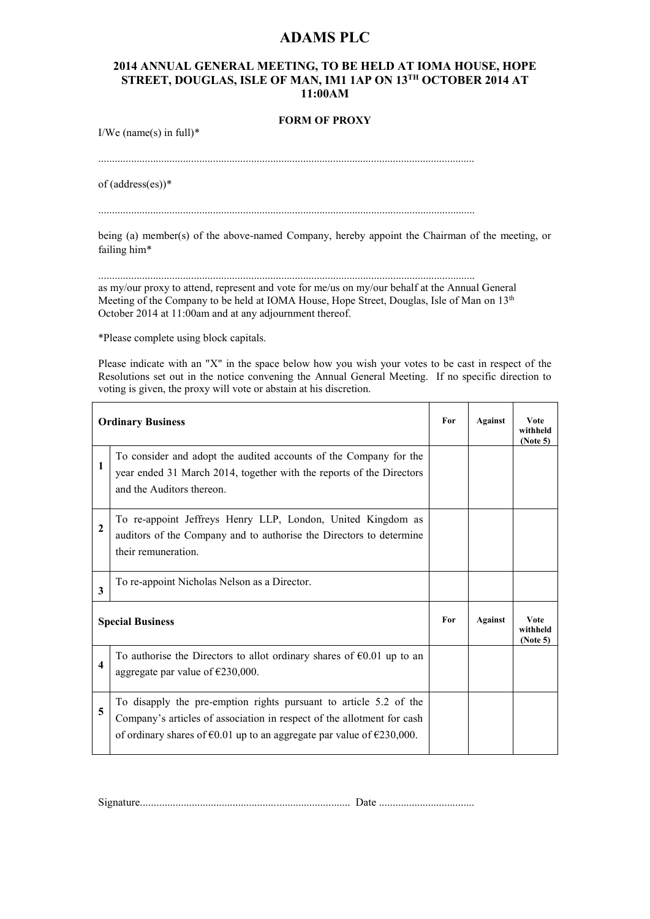## **ADAMS PLC**

## **2014 ANNUAL GENERAL MEETING, TO BE HELD AT IOMA HOUSE, HOPE STREET, DOUGLAS, ISLE OF MAN, IM1 1AP ON 13 TH OCTOBER 2014 AT 11:00AM**

## **FORM OF PROXY**

I/We (name(s) in full) $*$ 

..........................................................................................................................................

of (address(es))\*

..........................................................................................................................................

being (a) member(s) of the above-named Company, hereby appoint the Chairman of the meeting, or failing him\*

.......................................................................................................................................... as my/our proxy to attend, represent and vote for me/us on my/our behalf at the Annual General Meeting of the Company to be held at IOMA House, Hope Street, Douglas, Isle of Man on  $13<sup>th</sup>$ October 2014 at 11:00am and at any adjournment thereof.

\*Please complete using block capitals.

Please indicate with an "X" in the space below how you wish your votes to be cast in respect of the Resolutions set out in the notice convening the Annual General Meeting. If no specific direction to voting is given, the proxy will vote or abstain at his discretion.

| <b>Ordinary Business</b> |                                                                                                                                                                                                                                           | For | <b>Against</b> | Vote<br>withheld<br>(Note 5) |
|--------------------------|-------------------------------------------------------------------------------------------------------------------------------------------------------------------------------------------------------------------------------------------|-----|----------------|------------------------------|
| 1                        | To consider and adopt the audited accounts of the Company for the<br>year ended 31 March 2014, together with the reports of the Directors<br>and the Auditors thereon.                                                                    |     |                |                              |
| 2                        | To re-appoint Jeffreys Henry LLP, London, United Kingdom as<br>auditors of the Company and to authorise the Directors to determine<br>their remuneration.                                                                                 |     |                |                              |
| 3                        | To re-appoint Nicholas Nelson as a Director.                                                                                                                                                                                              |     |                |                              |
| <b>Special Business</b>  |                                                                                                                                                                                                                                           | For | <b>Against</b> | Vote<br>withheld<br>(Note 5) |
| 4                        | To authorise the Directors to allot ordinary shares of $\epsilon$ 0.01 up to an<br>aggregate par value of $\epsilon$ 230,000.                                                                                                             |     |                |                              |
| 5                        | To disapply the pre-emption rights pursuant to article 5.2 of the<br>Company's articles of association in respect of the allotment for cash<br>of ordinary shares of $\epsilon 0.01$ up to an aggregate par value of $\epsilon 230,000$ . |     |                |                              |

Signature............................................................................. Date ...................................